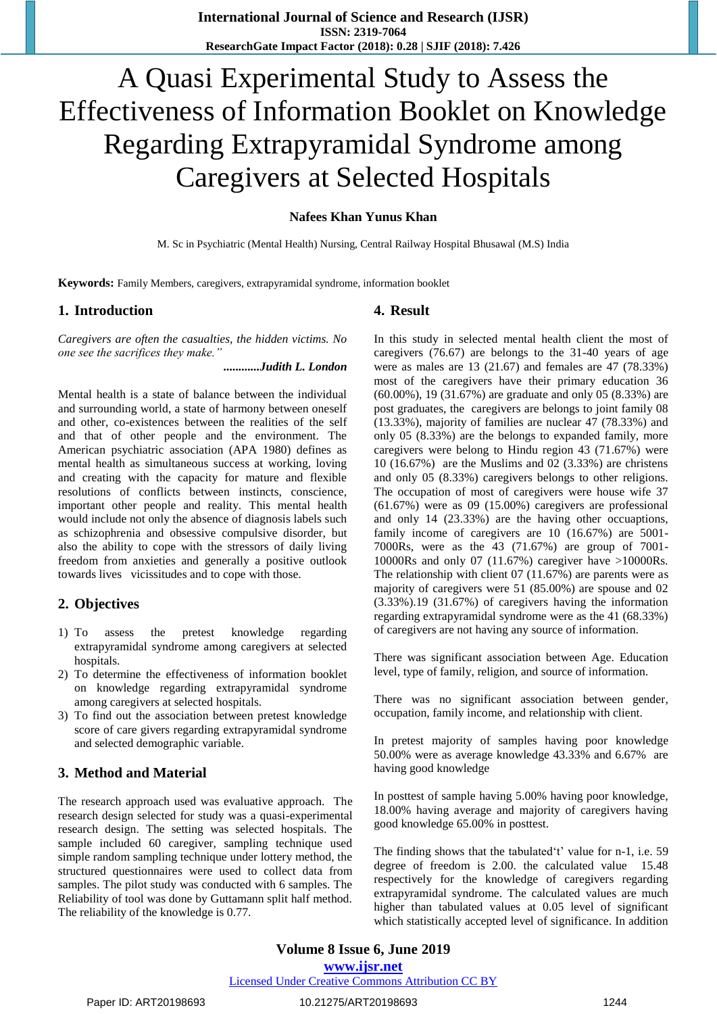# A Quasi Experimental Study to Assess the Effectiveness of Information Booklet on Knowledge Regarding Extrapyramidal Syndrome among Caregivers at Selected Hospitals

#### **Nafees Khan Yunus Khan**

M. Sc in Psychiatric (Mental Health) Nursing, Central Railway Hospital Bhusawal (M.S) India

**Keywords:** Family Members, caregivers, extrapyramidal syndrome, information booklet

### **1. Introduction**

*Caregivers are often the casualties, the hidden victims. No one see the sacrifices they make."*

*............Judith L. London* 

Mental health is a state of balance between the individual and surrounding world, a state of harmony between oneself and other, co-existences between the realities of the self and that of other people and the environment. The American psychiatric association (APA 1980) defines as mental health as simultaneous success at working, loving and creating with the capacity for mature and flexible resolutions of conflicts between instincts, conscience, important other people and reality. This mental health would include not only the absence of diagnosis labels such as schizophrenia and obsessive compulsive disorder, but also the ability to cope with the stressors of daily living freedom from anxieties and generally a positive outlook towards lives vicissitudes and to cope with those.

### **2. Objectives**

- 1) To assess the pretest knowledge regarding extrapyramidal syndrome among caregivers at selected hospitals.
- 2) To determine the effectiveness of information booklet on knowledge regarding extrapyramidal syndrome among caregivers at selected hospitals.
- 3) To find out the association between pretest knowledge score of care givers regarding extrapyramidal syndrome and selected demographic variable.

# **3. Method and Material**

The research approach used was evaluative approach. The research design selected for study was a quasi-experimental research design. The setting was selected hospitals. The sample included 60 caregiver, sampling technique used simple random sampling technique under lottery method, the structured questionnaires were used to collect data from samples. The pilot study was conducted with 6 samples. The Reliability of tool was done by Guttamann split half method. The reliability of the knowledge is 0.77.

## **4. Result**

In this study in selected mental health client the most of caregivers (76.67) are belongs to the 31-40 years of age were as males are 13 (21.67) and females are 47 (78.33%) most of the caregivers have their primary education 36 (60.00%), 19 (31.67%) are graduate and only 05 (8.33%) are post graduates, the caregivers are belongs to joint family 08 (13.33%), majority of families are nuclear 47 (78.33%) and only 05 (8.33%) are the belongs to expanded family, more caregivers were belong to Hindu region 43 (71.67%) were 10 (16.67%) are the Muslims and 02 (3.33%) are christens and only 05 (8.33%) caregivers belongs to other religions. The occupation of most of caregivers were house wife 37 (61.67%) were as 09 (15.00%) caregivers are professional and only 14 (23.33%) are the having other occuaptions, family income of caregivers are 10 (16.67%) are 5001- 7000Rs, were as the 43 (71.67%) are group of 7001- 10000Rs and only 07 (11.67%) caregiver have >10000Rs. The relationship with client 07 (11.67%) are parents were as majority of caregivers were 51 (85.00%) are spouse and 02 (3.33%).19 (31.67%) of caregivers having the information regarding extrapyramidal syndrome were as the 41 (68.33%) of caregivers are not having any source of information.

There was significant association between Age. Education level, type of family, religion, and source of information.

There was no significant association between gender, occupation, family income, and relationship with client.

In pretest majority of samples having poor knowledge 50.00% were as average knowledge 43.33% and 6.67% are having good knowledge

In posttest of sample having 5.00% having poor knowledge, 18.00% having average and majority of caregivers having good knowledge 65.00% in posttest.

The finding shows that the tabulated't' value for n-1, i.e. 59 degree of freedom is 2.00. the calculated value 15.48 respectively for the knowledge of caregivers regarding extrapyramidal syndrome. The calculated values are much higher than tabulated values at 0.05 level of significant which statistically accepted level of significance. In addition

# **Volume 8 Issue 6, June 2019**

#### **www.ijsr.net**

# Licensed Under Creative Commons Attribution CC BY